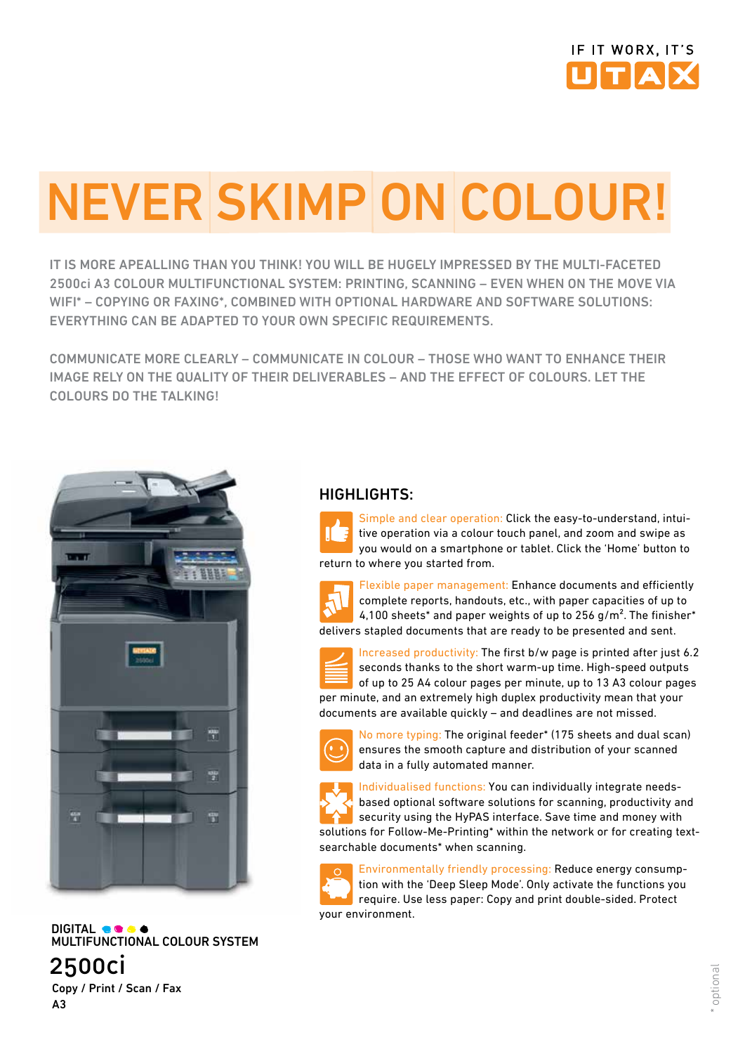

# NEVER SKIMP ON COLOUR!

IT IS MORE APEALLING THAN YOU THINK! YOU WILL BE HUGELY IMPRESSED BY THE MULTI-FACETED 2500ci A3 COLOUR MULTIFUNCTIONAL SYSTEM: PRINTING, SCANNING – EVEN WHEN ON THE MOVE VIA WIFI\* – COPYING OR FAXING\*, COMBINED WITH OPTIONAL HARDWARE AND SOFTWARE SOLUTIONS: EVERYTHING CAN BE ADAPTED TO YOUR OWN SPECIFIC REQUIREMENTS.

COMMUNICATE MORE CLEARLY – COMMUNICATE IN COLOUR – THOSE WHO WANT TO ENHANCE THEIR IMAGE RELY ON THE QUALITY OF THEIR DELIVERABLES – AND THE EFFECT OF COLOURS. LET THE COLOURS DO THE TALKING!



**DIGITAL GOOG** Multifunctional Colour system 2500ci

HIGHLIGHTS:



Simple and clear operation: Click the easy-to-understand, intuitive operation via a colour touch panel, and zoom and swipe as you would on a smartphone or tablet. Click the 'Home' button to return to where you started from.



Flexible paper management: Enhance documents and efficiently complete reports, handouts, etc., with paper capacities of up to 4,100 sheets<sup>\*</sup> and paper weights of up to 256 g/m<sup>2</sup>. The finisher<sup>\*</sup> delivers stapled documents that are ready to be presented and sent.



Increased productivity: The first b/w page is printed after just 6.2 seconds thanks to the short warm-up time. High-speed outputs of up to 25 A4 colour pages per minute, up to 13 A3 colour pages per minute, and an extremely high duplex productivity mean that your documents are available quickly – and deadlines are not missed.



No more typing: The original feeder\* (175 sheets and dual scan) ensures the smooth capture and distribution of your scanned data in a fully automated manner.



Individualised functions: You can individually integrate needsbased optional software solutions for scanning, productivity and security using the HyPAS interface. Save time and money with solutions for Follow-Me-Printing\* within the network or for creating textsearchable documents\* when scanning.

Environmentally friendly processing: Reduce energy consumption with the 'Deep Sleep Mode'. Only activate the functions you require. Use less paper: Copy and print double-sided. Protect your environment.

Copy / Print / Scan / Fax A3